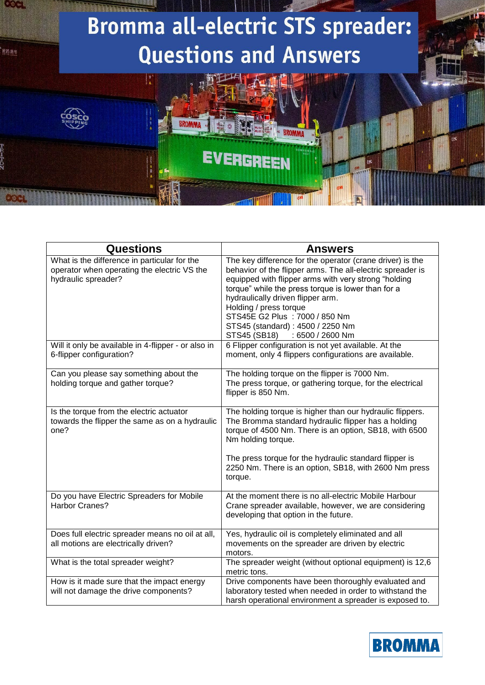

| <b>Questions</b>                                                                                                   | <b>Answers</b>                                                                                                                                                                                                                                                                                                                                                                                                |
|--------------------------------------------------------------------------------------------------------------------|---------------------------------------------------------------------------------------------------------------------------------------------------------------------------------------------------------------------------------------------------------------------------------------------------------------------------------------------------------------------------------------------------------------|
| What is the difference in particular for the<br>operator when operating the electric VS the<br>hydraulic spreader? | The key difference for the operator (crane driver) is the<br>behavior of the flipper arms. The all-electric spreader is<br>equipped with flipper arms with very strong "holding<br>torque" while the press torque is lower than for a<br>hydraulically driven flipper arm.<br>Holding / press torque<br>STS45E G2 Plus: 7000 / 850 Nm<br>STS45 (standard): 4500 / 2250 Nm<br>STS45 (SB18)<br>: 6500 / 2600 Nm |
| Will it only be available in 4-flipper - or also in<br>6-flipper configuration?                                    | 6 Flipper configuration is not yet available. At the<br>moment, only 4 flippers configurations are available.                                                                                                                                                                                                                                                                                                 |
| Can you please say something about the<br>holding torque and gather torque?                                        | The holding torque on the flipper is 7000 Nm.<br>The press torque, or gathering torque, for the electrical<br>flipper is 850 Nm.                                                                                                                                                                                                                                                                              |
| Is the torque from the electric actuator<br>towards the flipper the same as on a hydraulic<br>one?                 | The holding torque is higher than our hydraulic flippers.<br>The Bromma standard hydraulic flipper has a holding<br>torque of 4500 Nm. There is an option, SB18, with 6500<br>Nm holding torque.<br>The press torque for the hydraulic standard flipper is<br>2250 Nm. There is an option, SB18, with 2600 Nm press<br>torque.                                                                                |
| Do you have Electric Spreaders for Mobile<br>Harbor Cranes?                                                        | At the moment there is no all-electric Mobile Harbour<br>Crane spreader available, however, we are considering<br>developing that option in the future.                                                                                                                                                                                                                                                       |
| Does full electric spreader means no oil at all,<br>all motions are electrically driven?                           | Yes, hydraulic oil is completely eliminated and all<br>movements on the spreader are driven by electric<br>motors.                                                                                                                                                                                                                                                                                            |
| What is the total spreader weight?                                                                                 | The spreader weight (without optional equipment) is 12,6<br>metric tons.                                                                                                                                                                                                                                                                                                                                      |
| How is it made sure that the impact energy<br>will not damage the drive components?                                | Drive components have been thoroughly evaluated and<br>laboratory tested when needed in order to withstand the<br>harsh operational environment a spreader is exposed to.                                                                                                                                                                                                                                     |

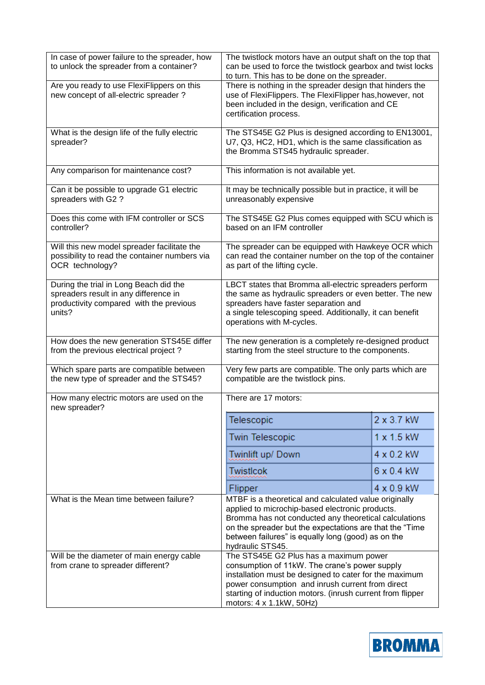| In case of power failure to the spreader, how<br>to unlock the spreader from a container?                                            | The twistlock motors have an output shaft on the top that<br>can be used to force the twistlock gearbox and twist locks<br>to turn. This has to be done on the spreader.                                                                                                                               |                   |
|--------------------------------------------------------------------------------------------------------------------------------------|--------------------------------------------------------------------------------------------------------------------------------------------------------------------------------------------------------------------------------------------------------------------------------------------------------|-------------------|
| Are you ready to use FlexiFlippers on this<br>new concept of all-electric spreader?                                                  | There is nothing in the spreader design that hinders the<br>use of FlexiFlippers. The FlexiFlipper has, however, not<br>been included in the design, verification and CE<br>certification process.                                                                                                     |                   |
| What is the design life of the fully electric<br>spreader?                                                                           | The STS45E G2 Plus is designed according to EN13001,<br>U7, Q3, HC2, HD1, which is the same classification as<br>the Bromma STS45 hydraulic spreader.                                                                                                                                                  |                   |
| Any comparison for maintenance cost?                                                                                                 | This information is not available yet.                                                                                                                                                                                                                                                                 |                   |
| Can it be possible to upgrade G1 electric<br>spreaders with G2?                                                                      | It may be technically possible but in practice, it will be<br>unreasonably expensive                                                                                                                                                                                                                   |                   |
| Does this come with IFM controller or SCS<br>controller?                                                                             | The STS45E G2 Plus comes equipped with SCU which is<br>based on an IFM controller                                                                                                                                                                                                                      |                   |
| Will this new model spreader facilitate the<br>possibility to read the container numbers via<br>OCR technology?                      | The spreader can be equipped with Hawkeye OCR which<br>can read the container number on the top of the container<br>as part of the lifting cycle.                                                                                                                                                      |                   |
| During the trial in Long Beach did the<br>spreaders result in any difference in<br>productivity compared with the previous<br>units? | LBCT states that Bromma all-electric spreaders perform<br>the same as hydraulic spreaders or even better. The new<br>spreaders have faster separation and<br>a single telescoping speed. Additionally, it can benefit<br>operations with M-cycles.                                                     |                   |
| How does the new generation STS45E differ<br>from the previous electrical project?                                                   | The new generation is a completely re-designed product<br>starting from the steel structure to the components.                                                                                                                                                                                         |                   |
| Which spare parts are compatible between<br>the new type of spreader and the STS45?                                                  | Very few parts are compatible. The only parts which are<br>compatible are the twistlock pins.                                                                                                                                                                                                          |                   |
| How many electric motors are used on the<br>new spreader?                                                                            | There are 17 motors:                                                                                                                                                                                                                                                                                   |                   |
|                                                                                                                                      | Telescopic                                                                                                                                                                                                                                                                                             | 2 x 3.7 kW        |
|                                                                                                                                      | <b>Twin Telescopic</b>                                                                                                                                                                                                                                                                                 | $1 \times 1.5$ kW |
|                                                                                                                                      | Twinlift up/ Down                                                                                                                                                                                                                                                                                      | 4 x 0.2 kW        |
|                                                                                                                                      | <b>Twistlcok</b>                                                                                                                                                                                                                                                                                       | 6 x 0.4 kW        |
|                                                                                                                                      | Flipper                                                                                                                                                                                                                                                                                                | $4 \times 0.9$ kW |
| What is the Mean time between failure?                                                                                               | MTBF is a theoretical and calculated value originally<br>applied to microchip-based electronic products.<br>Bromma has not conducted any theoretical calculations<br>on the spreader but the expectations are that the "Time<br>between failures" is equally long (good) as on the<br>hydraulic STS45. |                   |
| Will be the diameter of main energy cable<br>from crane to spreader different?                                                       | The STS45E G2 Plus has a maximum power<br>consumption of 11kW. The crane's power supply<br>installation must be designed to cater for the maximum<br>power consumption and inrush current from direct<br>starting of induction motors. (inrush current from flipper<br>motors: 4 x 1.1kW, 50Hz)        |                   |